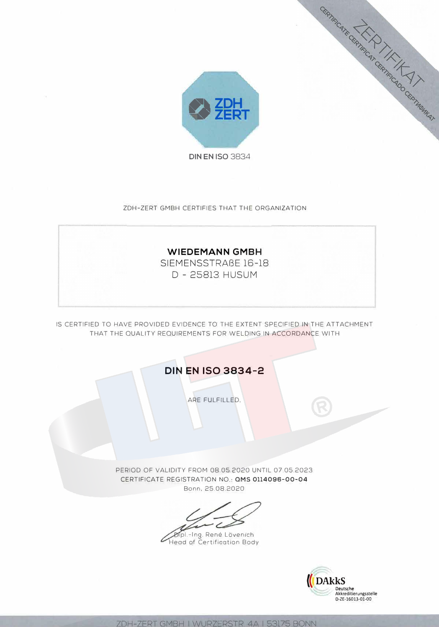

ZDH-ZERT GMBH CERTIFIES THAT THE ORGANIZATION



IS CERTIFIED TO HAVE PROVIDED EVIDENCE TO THE EXTENT SPECIFIED IN THE ATTACHMENT THAT THE QUALITY REQUIREMENTS FOR WELDING IN ACCORDANCE WITH

**DIN EN ISO 3834-2** 

ARE FULFILLED.

PERIOD OF VALIDITY FROM 08.05.2020 UNTIL 07.05.2023 CERTIFICATE REGISTRATION NO.: QMS 0114096-00-04 Bonn, 25.08.2020

Dipl.-Ing. René Lövenich<br>Head of Certification Body ı



RESPIRE CAPTER CAPTER CAPTER CAPTER CAPTER CAPTER CAPTER CAPTER

7DH-7FRT GMBH I WURZERSTR 4A I 53175 BONN